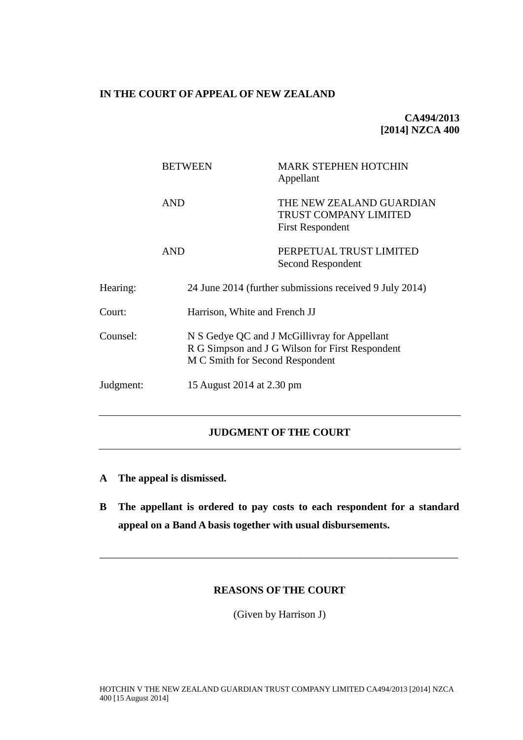# **IN THE COURT OF APPEAL OF NEW ZEALAND**

**CA494/2013 [2014] NZCA 400**

|           | <b>BETWEEN</b> | <b>MARK STEPHEN HOTCHIN</b><br>Appellant                                                                                           |  |
|-----------|----------------|------------------------------------------------------------------------------------------------------------------------------------|--|
|           | <b>AND</b>     | THE NEW ZEALAND GUARDIAN<br><b>TRUST COMPANY LIMITED</b><br><b>First Respondent</b>                                                |  |
|           | <b>AND</b>     | PERPETUAL TRUST LIMITED<br>Second Respondent                                                                                       |  |
| Hearing:  |                | 24 June 2014 (further submissions received 9 July 2014)                                                                            |  |
| Court:    |                | Harrison, White and French JJ                                                                                                      |  |
| Counsel:  |                | N S Gedye QC and J McGillivray for Appellant<br>R G Simpson and J G Wilson for First Respondent<br>M C Smith for Second Respondent |  |
| Judgment: |                | 15 August 2014 at 2.30 pm                                                                                                          |  |

# **JUDGMENT OF THE COURT**

- **A The appeal is dismissed.**
- **B The appellant is ordered to pay costs to each respondent for a standard appeal on a Band A basis together with usual disbursements.**

## **REASONS OF THE COURT**

\_\_\_\_\_\_\_\_\_\_\_\_\_\_\_\_\_\_\_\_\_\_\_\_\_\_\_\_\_\_\_\_\_\_\_\_\_\_\_\_\_\_\_\_\_\_\_\_\_\_\_\_\_\_\_\_\_\_\_\_\_\_\_\_\_\_\_\_

(Given by Harrison J)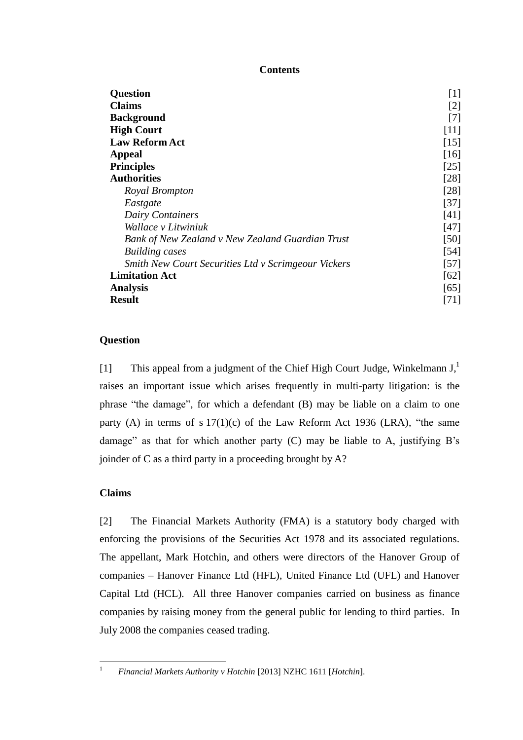### **Contents**

| <b>Question</b>                                            | $[1]$  |
|------------------------------------------------------------|--------|
| <b>Claims</b>                                              | [2]    |
| <b>Background</b>                                          | [7]    |
| <b>High Court</b>                                          | [11]   |
| <b>Law Reform Act</b>                                      | $[15]$ |
| <b>Appeal</b>                                              | [16]   |
| <b>Principles</b>                                          | [25]   |
| <b>Authorities</b>                                         | [28]   |
| Royal Brompton                                             | [28]   |
| Eastgate                                                   | $[37]$ |
| <b>Dairy Containers</b>                                    | [41]   |
| Wallace y Litwiniuk                                        | $[47]$ |
| Bank of New Zealand v New Zealand Guardian Trust           | [50]   |
| <b>Building cases</b>                                      | $[54]$ |
| <b>Smith New Court Securities Ltd v Scrimgeour Vickers</b> | $[57]$ |
| <b>Limitation Act</b>                                      | [62]   |
| <b>Analysis</b>                                            | [65]   |
| <b>Result</b>                                              | [71]   |

## **Question**

<span id="page-1-0"></span>[1] This appeal from a judgment of the Chief High Court Judge, Winkelmann  $J<sub>1</sub>$ <sup>1</sup> raises an important issue which arises frequently in multi-party litigation: is the phrase "the damage", for which a defendant (B) may be liable on a claim to one party (A) in terms of s  $17(1)(c)$  of the Law Reform Act 1936 (LRA), "the same damage" as that for which another party  $(C)$  may be liable to A, justifying B's joinder of C as a third party in a proceeding brought by A?

# **Claims**

 $\overline{1}$ 

<span id="page-1-1"></span>[2] The Financial Markets Authority (FMA) is a statutory body charged with enforcing the provisions of the Securities Act 1978 and its associated regulations. The appellant, Mark Hotchin, and others were directors of the Hanover Group of companies – Hanover Finance Ltd (HFL), United Finance Ltd (UFL) and Hanover Capital Ltd (HCL). All three Hanover companies carried on business as finance companies by raising money from the general public for lending to third parties. In July 2008 the companies ceased trading.

<sup>1</sup> *Financial Markets Authority v Hotchin* [2013] NZHC 1611 [*Hotchin*].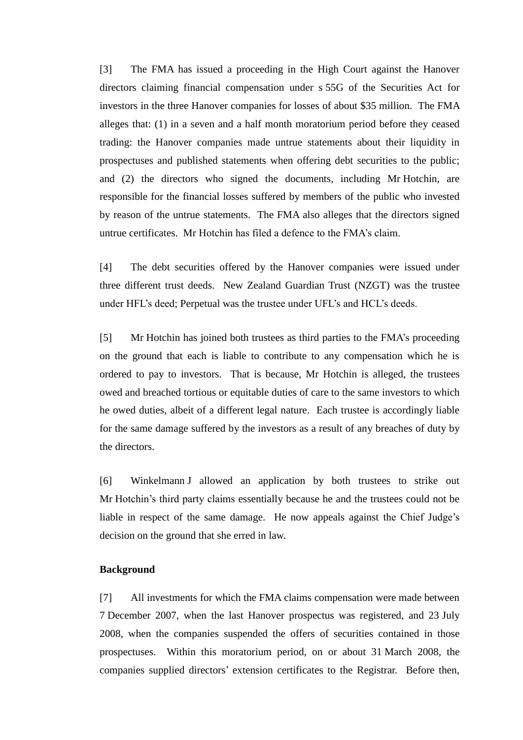[3] The FMA has issued a proceeding in the High Court against the Hanover directors claiming financial compensation under s 55G of the Securities Act for investors in the three Hanover companies for losses of about \$35 million. The FMA alleges that: (1) in a seven and a half month moratorium period before they ceased trading: the Hanover companies made untrue statements about their liquidity in prospectuses and published statements when offering debt securities to the public; and (2) the directors who signed the documents, including Mr Hotchin, are responsible for the financial losses suffered by members of the public who invested by reason of the untrue statements. The FMA also alleges that the directors signed untrue certificates. Mr Hotchin has filed a defence to the FMA's claim.

[4] The debt securities offered by the Hanover companies were issued under three different trust deeds. New Zealand Guardian Trust (NZGT) was the trustee under HFL's deed; Perpetual was the trustee under UFL's and HCL's deeds.

[5] Mr Hotchin has joined both trustees as third parties to the FMA's proceeding on the ground that each is liable to contribute to any compensation which he is ordered to pay to investors. That is because, Mr Hotchin is alleged, the trustees owed and breached tortious or equitable duties of care to the same investors to which he owed duties, albeit of a different legal nature. Each trustee is accordingly liable for the same damage suffered by the investors as a result of any breaches of duty by the directors.

[6] Winkelmann J allowed an application by both trustees to strike out Mr Hotchin's third party claims essentially because he and the trustees could not be liable in respect of the same damage. He now appeals against the Chief Judge's decision on the ground that she erred in law.

#### **Background**

<span id="page-2-0"></span>[7] All investments for which the FMA claims compensation were made between 7 December 2007, when the last Hanover prospectus was registered, and 23 July 2008, when the companies suspended the offers of securities contained in those prospectuses. Within this moratorium period, on or about 31 March 2008, the companies supplied directors' extension certificates to the Registrar. Before then,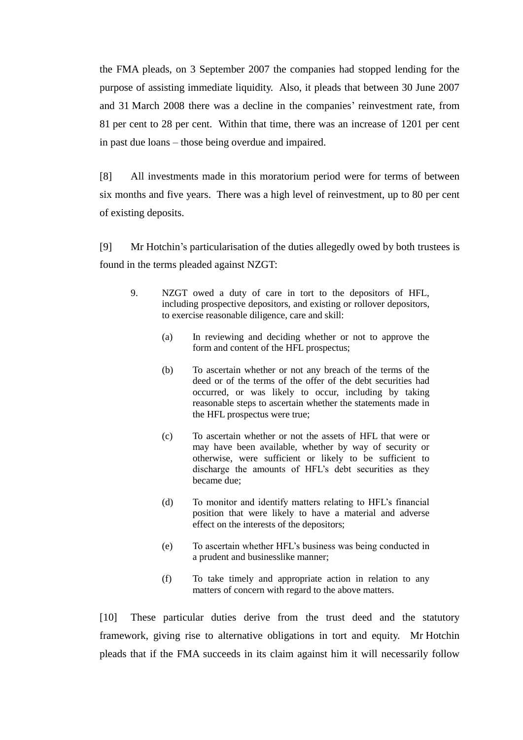the FMA pleads, on 3 September 2007 the companies had stopped lending for the purpose of assisting immediate liquidity. Also, it pleads that between 30 June 2007 and 31 March 2008 there was a decline in the companies' reinvestment rate, from 81 per cent to 28 per cent. Within that time, there was an increase of 1201 per cent in past due loans – those being overdue and impaired.

[8] All investments made in this moratorium period were for terms of between six months and five years. There was a high level of reinvestment, up to 80 per cent of existing deposits.

[9] Mr Hotchin's particularisation of the duties allegedly owed by both trustees is found in the terms pleaded against NZGT:

- 9. NZGT owed a duty of care in tort to the depositors of HFL, including prospective depositors, and existing or rollover depositors, to exercise reasonable diligence, care and skill:
	- (a) In reviewing and deciding whether or not to approve the form and content of the HFL prospectus;
	- (b) To ascertain whether or not any breach of the terms of the deed or of the terms of the offer of the debt securities had occurred, or was likely to occur, including by taking reasonable steps to ascertain whether the statements made in the HFL prospectus were true;
	- (c) To ascertain whether or not the assets of HFL that were or may have been available, whether by way of security or otherwise, were sufficient or likely to be sufficient to discharge the amounts of HFL's debt securities as they became due;
	- (d) To monitor and identify matters relating to HFL's financial position that were likely to have a material and adverse effect on the interests of the depositors;
	- (e) To ascertain whether HFL's business was being conducted in a prudent and businesslike manner;
	- (f) To take timely and appropriate action in relation to any matters of concern with regard to the above matters.

[10] These particular duties derive from the trust deed and the statutory framework, giving rise to alternative obligations in tort and equity. Mr Hotchin pleads that if the FMA succeeds in its claim against him it will necessarily follow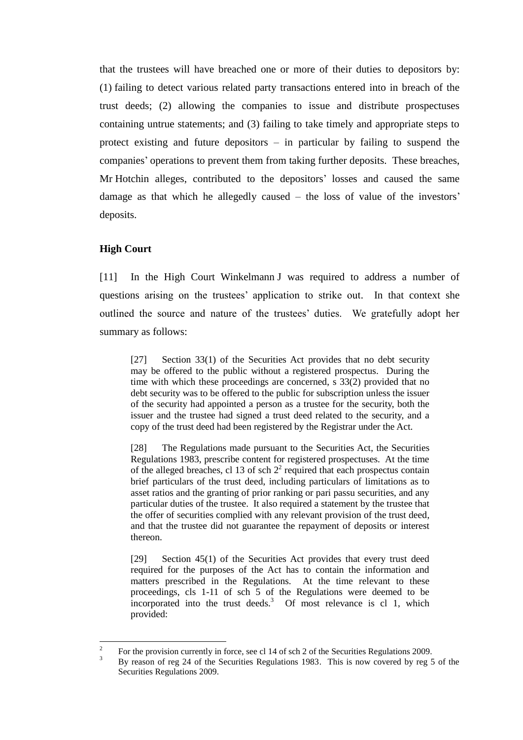that the trustees will have breached one or more of their duties to depositors by: (1) failing to detect various related party transactions entered into in breach of the trust deeds; (2) allowing the companies to issue and distribute prospectuses containing untrue statements; and (3) failing to take timely and appropriate steps to protect existing and future depositors – in particular by failing to suspend the companies' operations to prevent them from taking further deposits. These breaches, Mr Hotchin alleges, contributed to the depositors' losses and caused the same damage as that which he allegedly caused – the loss of value of the investors' deposits.

#### **High Court**

<span id="page-4-0"></span>[11] In the High Court Winkelmann J was required to address a number of questions arising on the trustees' application to strike out. In that context she outlined the source and nature of the trustees' duties. We gratefully adopt her summary as follows:

[27] Section 33(1) of the Securities Act provides that no debt security may be offered to the public without a registered prospectus. During the time with which these proceedings are concerned, s 33(2) provided that no debt security was to be offered to the public for subscription unless the issuer of the security had appointed a person as a trustee for the security, both the issuer and the trustee had signed a trust deed related to the security, and a copy of the trust deed had been registered by the Registrar under the Act.

[28] The Regulations made pursuant to the Securities Act, the Securities Regulations 1983, prescribe content for registered prospectuses. At the time of the alleged breaches, cl 13 of sch  $2<sup>2</sup>$  required that each prospectus contain brief particulars of the trust deed, including particulars of limitations as to asset ratios and the granting of prior ranking or pari passu securities, and any particular duties of the trustee. It also required a statement by the trustee that the offer of securities complied with any relevant provision of the trust deed, and that the trustee did not guarantee the repayment of deposits or interest thereon.

[29] Section 45(1) of the Securities Act provides that every trust deed required for the purposes of the Act has to contain the information and matters prescribed in the Regulations. At the time relevant to these proceedings, cls 1-11 of sch 5 of the Regulations were deemed to be incorporated into the trust deeds.<sup>3</sup> Of most relevance is cl 1, which provided:

 $\frac{1}{2}$ For the provision currently in force, see cl 14 of sch 2 of the Securities Regulations 2009.

<sup>&</sup>lt;sup>3</sup> By reason of reg 24 of the Securities Regulations 1983. This is now covered by reg 5 of the Securities Regulations 2009.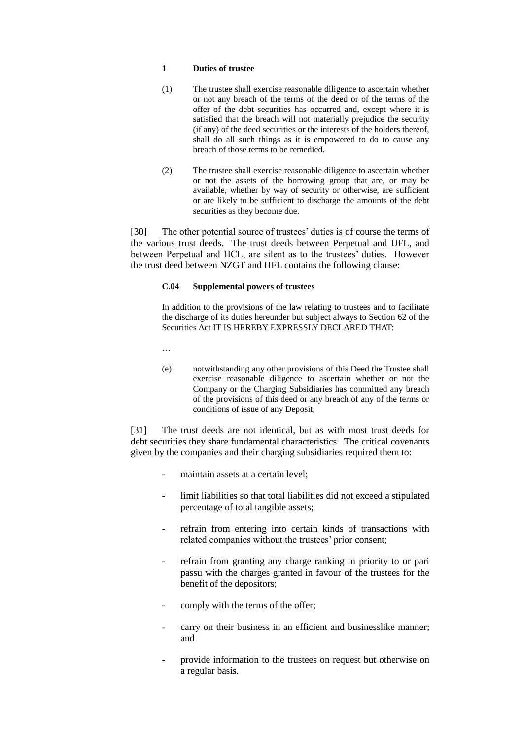#### **1 Duties of trustee**

- (1) The trustee shall exercise reasonable diligence to ascertain whether or not any breach of the terms of the deed or of the terms of the offer of the debt securities has occurred and, except where it is satisfied that the breach will not materially prejudice the security (if any) of the deed securities or the interests of the holders thereof, shall do all such things as it is empowered to do to cause any breach of those terms to be remedied.
- (2) The trustee shall exercise reasonable diligence to ascertain whether or not the assets of the borrowing group that are, or may be available, whether by way of security or otherwise, are sufficient or are likely to be sufficient to discharge the amounts of the debt securities as they become due.

[30] The other potential source of trustees' duties is of course the terms of the various trust deeds. The trust deeds between Perpetual and UFL, and between Perpetual and HCL, are silent as to the trustees' duties. However the trust deed between NZGT and HFL contains the following clause:

#### **C.04 Supplemental powers of trustees**

In addition to the provisions of the law relating to trustees and to facilitate the discharge of its duties hereunder but subject always to Section 62 of the Securities Act IT IS HEREBY EXPRESSLY DECLARED THAT:

(e) notwithstanding any other provisions of this Deed the Trustee shall exercise reasonable diligence to ascertain whether or not the Company or the Charging Subsidiaries has committed any breach of the provisions of this deed or any breach of any of the terms or conditions of issue of any Deposit;

[31] The trust deeds are not identical, but as with most trust deeds for debt securities they share fundamental characteristics. The critical covenants given by the companies and their charging subsidiaries required them to:

- maintain assets at a certain level:
- limit liabilities so that total liabilities did not exceed a stipulated percentage of total tangible assets;
- refrain from entering into certain kinds of transactions with related companies without the trustees' prior consent;
- refrain from granting any charge ranking in priority to or pari passu with the charges granted in favour of the trustees for the benefit of the depositors;
- comply with the terms of the offer;
- carry on their business in an efficient and businesslike manner; and
- provide information to the trustees on request but otherwise on a regular basis.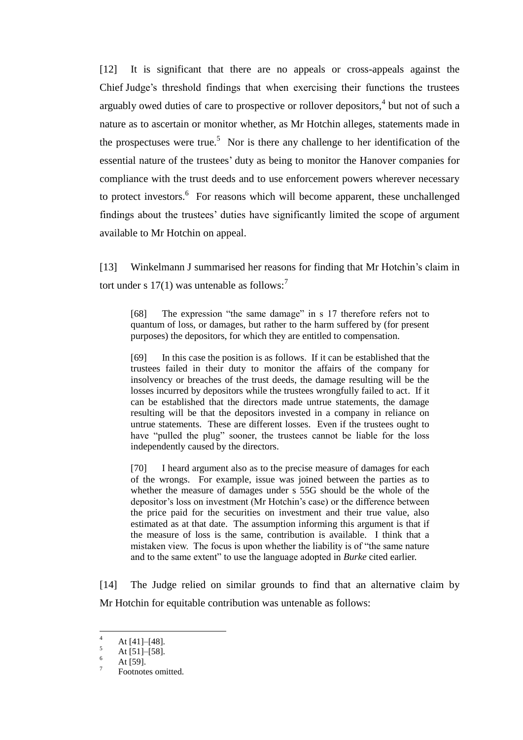[12] It is significant that there are no appeals or cross-appeals against the Chief Judge's threshold findings that when exercising their functions the trustees arguably owed duties of care to prospective or rollover depositors,<sup>4</sup> but not of such a nature as to ascertain or monitor whether, as Mr Hotchin alleges, statements made in the prospectuses were true.<sup>5</sup> Nor is there any challenge to her identification of the essential nature of the trustees' duty as being to monitor the Hanover companies for compliance with the trust deeds and to use enforcement powers wherever necessary to protect investors.<sup>6</sup> For reasons which will become apparent, these unchallenged findings about the trustees' duties have significantly limited the scope of argument available to Mr Hotchin on appeal.

[13] Winkelmann J summarised her reasons for finding that Mr Hotchin's claim in tort under s  $17(1)$  was untenable as follows:<sup>7</sup>

[68] The expression "the same damage" in s 17 therefore refers not to quantum of loss, or damages, but rather to the harm suffered by (for present purposes) the depositors, for which they are entitled to compensation.

[69] In this case the position is as follows. If it can be established that the trustees failed in their duty to monitor the affairs of the company for insolvency or breaches of the trust deeds, the damage resulting will be the losses incurred by depositors while the trustees wrongfully failed to act. If it can be established that the directors made untrue statements, the damage resulting will be that the depositors invested in a company in reliance on untrue statements. These are different losses. Even if the trustees ought to have "pulled the plug" sooner, the trustees cannot be liable for the loss independently caused by the directors.

[70] I heard argument also as to the precise measure of damages for each of the wrongs. For example, issue was joined between the parties as to whether the measure of damages under s 55G should be the whole of the depositor's loss on investment (Mr Hotchin's case) or the difference between the price paid for the securities on investment and their true value, also estimated as at that date. The assumption informing this argument is that if the measure of loss is the same, contribution is available. I think that a mistaken view. The focus is upon whether the liability is of "the same nature and to the same extent" to use the language adopted in *Burke* cited earlier.

[14] The Judge relied on similar grounds to find that an alternative claim by Mr Hotchin for equitable contribution was untenable as follows:

 $\overline{4}$  $\frac{4}{5}$  At [41]–[48].

 $\frac{5}{6}$  At [51]–[58].

At [59].

<sup>7</sup> Footnotes omitted.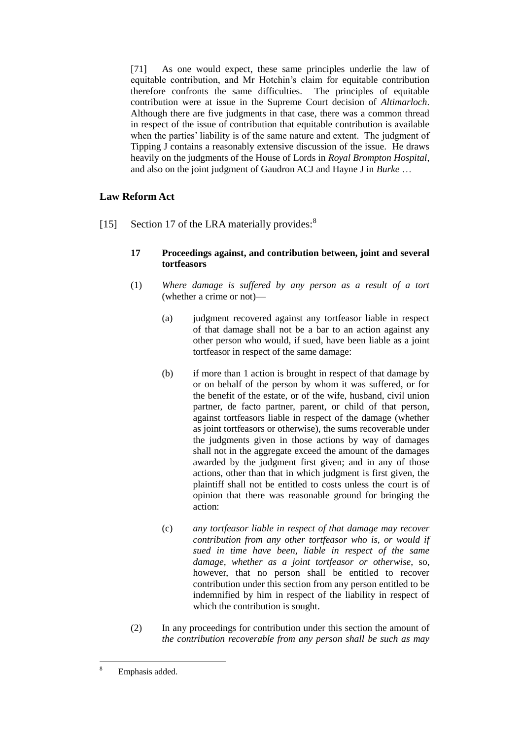[71] As one would expect, these same principles underlie the law of equitable contribution, and Mr Hotchin's claim for equitable contribution therefore confronts the same difficulties. The principles of equitable contribution were at issue in the Supreme Court decision of *Altimarloch*. Although there are five judgments in that case, there was a common thread in respect of the issue of contribution that equitable contribution is available when the parties' liability is of the same nature and extent. The judgment of Tipping J contains a reasonably extensive discussion of the issue. He draws heavily on the judgments of the House of Lords in *Royal Brompton Hospital*, and also on the joint judgment of Gaudron ACJ and Hayne J in *Burke* …

## **Law Reform Act**

- <span id="page-7-0"></span>[15] Section 17 of the LRA materially provides:<sup>8</sup>
	- **17 Proceedings against, and contribution between, joint and several tortfeasors**
	- (1) *Where damage is suffered by any person as a result of a tort* (whether a crime or not)—
		- (a) judgment recovered against any tortfeasor liable in respect of that damage shall not be a bar to an action against any other person who would, if sued, have been liable as a joint tortfeasor in respect of the same damage:
		- (b) if more than 1 action is brought in respect of that damage by or on behalf of the person by whom it was suffered, or for the benefit of the estate, or of the wife, husband, civil union partner, de facto partner, parent, or child of that person, against tortfeasors liable in respect of the damage (whether as joint tortfeasors or otherwise), the sums recoverable under the judgments given in those actions by way of damages shall not in the aggregate exceed the amount of the damages awarded by the judgment first given; and in any of those actions, other than that in which judgment is first given, the plaintiff shall not be entitled to costs unless the court is of opinion that there was reasonable ground for bringing the action:
		- (c) *any tortfeasor liable in respect of that damage may recover contribution from any other tortfeasor who is, or would if sued in time have been, liable in respect of the same damage, whether as a joint tortfeasor or otherwise*, so, however, that no person shall be entitled to recover contribution under this section from any person entitled to be indemnified by him in respect of the liability in respect of which the contribution is sought.
	- (2) In any proceedings for contribution under this section the amount of *the contribution recoverable from any person shall be such as may*

 $\overline{8}$ Emphasis added.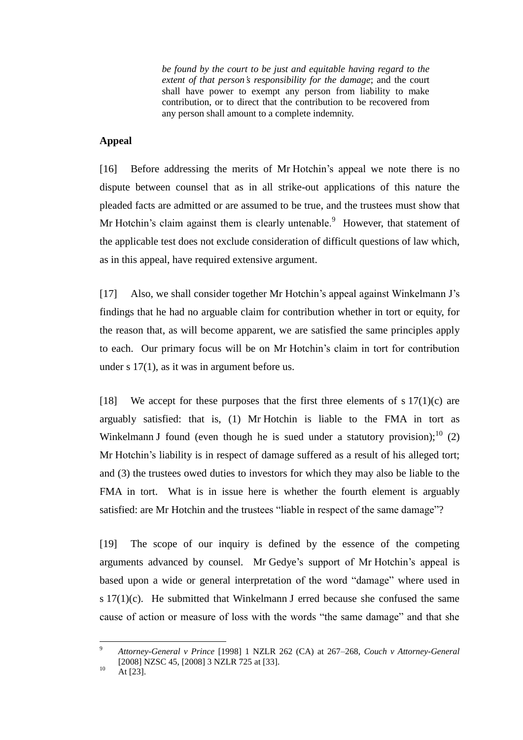*be found by the court to be just and equitable having regard to the extent of that person's responsibility for the damage*; and the court shall have power to exempt any person from liability to make contribution, or to direct that the contribution to be recovered from any person shall amount to a complete indemnity.

# **Appeal**

<span id="page-8-0"></span>[16] Before addressing the merits of Mr Hotchin's appeal we note there is no dispute between counsel that as in all strike-out applications of this nature the pleaded facts are admitted or are assumed to be true, and the trustees must show that Mr Hotchin's claim against them is clearly untenable. <sup>9</sup> However, that statement of the applicable test does not exclude consideration of difficult questions of law which, as in this appeal, have required extensive argument.

[17] Also, we shall consider together Mr Hotchin's appeal against Winkelmann J's findings that he had no arguable claim for contribution whether in tort or equity, for the reason that, as will become apparent, we are satisfied the same principles apply to each. Our primary focus will be on Mr Hotchin's claim in tort for contribution under s 17(1), as it was in argument before us.

[18] We accept for these purposes that the first three elements of s  $17(1)(c)$  are arguably satisfied: that is, (1) Mr Hotchin is liable to the FMA in tort as Winkelmann J found (even though he is sued under a statutory provision);<sup>10</sup> (2) Mr Hotchin's liability is in respect of damage suffered as a result of his alleged tort; and (3) the trustees owed duties to investors for which they may also be liable to the FMA in tort. What is in issue here is whether the fourth element is arguably satisfied: are Mr Hotchin and the trustees "liable in respect of the same damage"?

[19] The scope of our inquiry is defined by the essence of the competing arguments advanced by counsel. Mr Gedye's support of Mr Hotchin's appeal is based upon a wide or general interpretation of the word "damage" where used in s  $17(1)(c)$ . He submitted that Winkelmann J erred because she confused the same cause of action or measure of loss with the words "the same damage" and that she

 $\overline{a}$ 

<sup>9</sup> *Attorney-General v Prince* [1998] 1 NZLR 262 (CA) at 267–268, *Couch v Attorney-General* [2008] NZSC 45, [2008] 3 NZLR 725 at [33].

 $10$  At [23].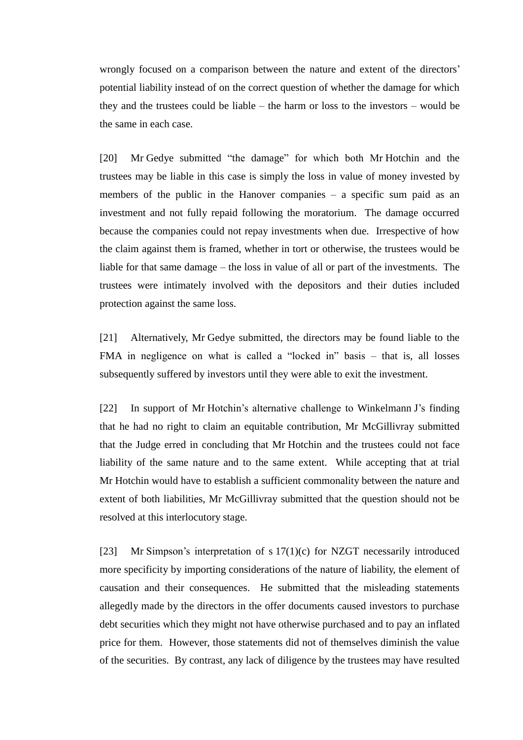wrongly focused on a comparison between the nature and extent of the directors' potential liability instead of on the correct question of whether the damage for which they and the trustees could be liable – the harm or loss to the investors – would be the same in each case.

[20] Mr Gedye submitted "the damage" for which both Mr Hotchin and the trustees may be liable in this case is simply the loss in value of money invested by members of the public in the Hanover companies – a specific sum paid as an investment and not fully repaid following the moratorium. The damage occurred because the companies could not repay investments when due. Irrespective of how the claim against them is framed, whether in tort or otherwise, the trustees would be liable for that same damage – the loss in value of all or part of the investments. The trustees were intimately involved with the depositors and their duties included protection against the same loss.

[21] Alternatively, Mr Gedye submitted, the directors may be found liable to the FMA in negligence on what is called a "locked in" basis – that is, all losses subsequently suffered by investors until they were able to exit the investment.

[22] In support of Mr Hotchin's alternative challenge to Winkelmann J's finding that he had no right to claim an equitable contribution, Mr McGillivray submitted that the Judge erred in concluding that Mr Hotchin and the trustees could not face liability of the same nature and to the same extent. While accepting that at trial Mr Hotchin would have to establish a sufficient commonality between the nature and extent of both liabilities, Mr McGillivray submitted that the question should not be resolved at this interlocutory stage.

[23] Mr Simpson's interpretation of s 17(1)(c) for NZGT necessarily introduced more specificity by importing considerations of the nature of liability, the element of causation and their consequences. He submitted that the misleading statements allegedly made by the directors in the offer documents caused investors to purchase debt securities which they might not have otherwise purchased and to pay an inflated price for them. However, those statements did not of themselves diminish the value of the securities. By contrast, any lack of diligence by the trustees may have resulted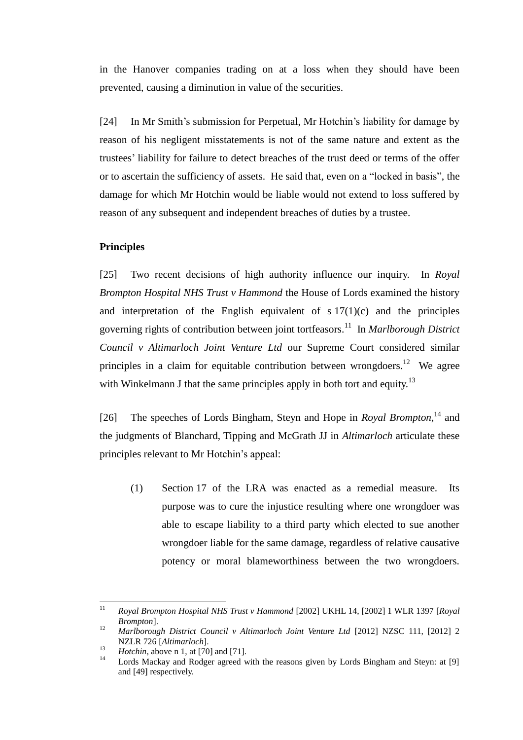in the Hanover companies trading on at a loss when they should have been prevented, causing a diminution in value of the securities.

[24] In Mr Smith's submission for Perpetual, Mr Hotchin's liability for damage by reason of his negligent misstatements is not of the same nature and extent as the trustees' liability for failure to detect breaches of the trust deed or terms of the offer or to ascertain the sufficiency of assets. He said that, even on a "locked in basis", the damage for which Mr Hotchin would be liable would not extend to loss suffered by reason of any subsequent and independent breaches of duties by a trustee.

## **Principles**

<span id="page-10-4"></span><span id="page-10-1"></span><span id="page-10-0"></span>[25] Two recent decisions of high authority influence our inquiry. In *Royal Brompton Hospital NHS Trust v Hammond* the House of Lords examined the history and interpretation of the English equivalent of  $s 17(1)(c)$  and the principles governing rights of contribution between joint tortfeasors.<sup>11</sup> In *Marlborough District Council v Altimarloch Joint Venture Ltd* our Supreme Court considered similar principles in a claim for equitable contribution between wrongdoers.<sup>12</sup> We agree with Winkelmann J that the same principles apply in both tort and equity.<sup>13</sup>

<span id="page-10-2"></span>[26] The speeches of Lords Bingham, Steyn and Hope in *Royal Brompton*, <sup>14</sup> and the judgments of Blanchard, Tipping and McGrath JJ in *Altimarloch* articulate these principles relevant to Mr Hotchin's appeal:

<span id="page-10-3"></span>(1) Section 17 of the LRA was enacted as a remedial measure. Its purpose was to cure the injustice resulting where one wrongdoer was able to escape liability to a third party which elected to sue another wrongdoer liable for the same damage, regardless of relative causative potency or moral blameworthiness between the two wrongdoers.

 $11$ <sup>11</sup> *Royal Brompton Hospital NHS Trust v Hammond* [2002] UKHL 14, [2002] 1 WLR 1397 [*Royal Brompton*].

<sup>&</sup>lt;sup>12</sup> Marlborough District Council v Altimarloch Joint Venture Ltd [2012] NZSC 111, [2012] 2 NZLR 726 [*Altimarloch*].

 $13$  *Hotchin*, above n 1, at [70] and [71].

Lords Mackay and Rodger agreed with the reasons given by Lords Bingham and Steyn: at [9] and [49] respectively.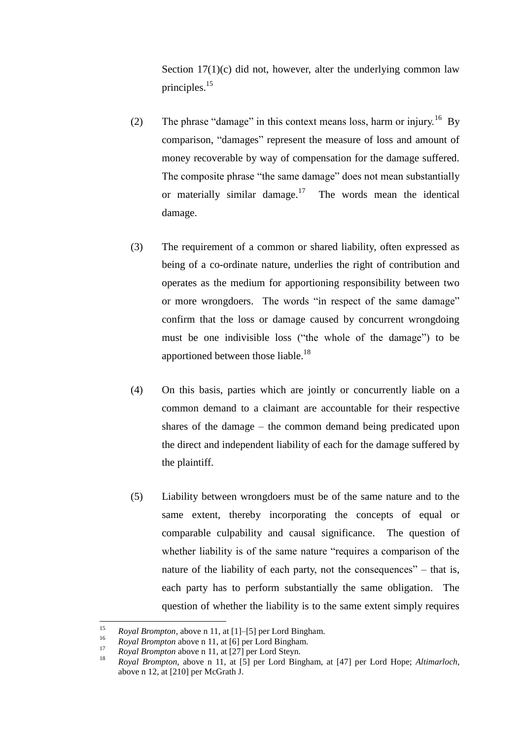Section  $17(1)(c)$  did not, however, alter the underlying common law principles. 15

- (2) The phrase "damage" in this context means loss, harm or injury.<sup>16</sup> By comparison, "damages" represent the measure of loss and amount of money recoverable by way of compensation for the damage suffered. The composite phrase "the same damage" does not mean substantially or materially similar damage.<sup>17</sup> The words mean the identical damage.
- (3) The requirement of a common or shared liability, often expressed as being of a co-ordinate nature, underlies the right of contribution and operates as the medium for apportioning responsibility between two or more wrongdoers. The words "in respect of the same damage" confirm that the loss or damage caused by concurrent wrongdoing must be one indivisible loss ("the whole of the damage") to be apportioned between those liable.<sup>18</sup>
- (4) On this basis, parties which are jointly or concurrently liable on a common demand to a claimant are accountable for their respective shares of the damage – the common demand being predicated upon the direct and independent liability of each for the damage suffered by the plaintiff.
- (5) Liability between wrongdoers must be of the same nature and to the same extent, thereby incorporating the concepts of equal or comparable culpability and causal significance. The question of whether liability is of the same nature "requires a comparison of the nature of the liability of each party, not the consequences" – that is, each party has to perform substantially the same obligation. The question of whether the liability is to the same extent simply requires

 $15$ <sup>15</sup> *Royal Brompton, above n [11,](#page-10-1) at [1]–[5] per Lord Bingham.*<br><sup>16</sup> *Royal Brompton oboys n 11, at [6] per Lord Bingham.* 

<sup>16</sup> *Royal Brompton* above [n 11,](#page-10-1) at [6] per Lord Bingham.

<sup>&</sup>lt;sup>17</sup> *Royal Brompton* above [n 11,](#page-10-1) at [27] per Lord Steyn.

<sup>18</sup> *Royal Brompton,* above n [11,](#page-10-1) at [5] per Lord Bingham, at [47] per Lord Hope; *Altimarloch*, above [n 12,](#page-10-2) at [210] per McGrath J.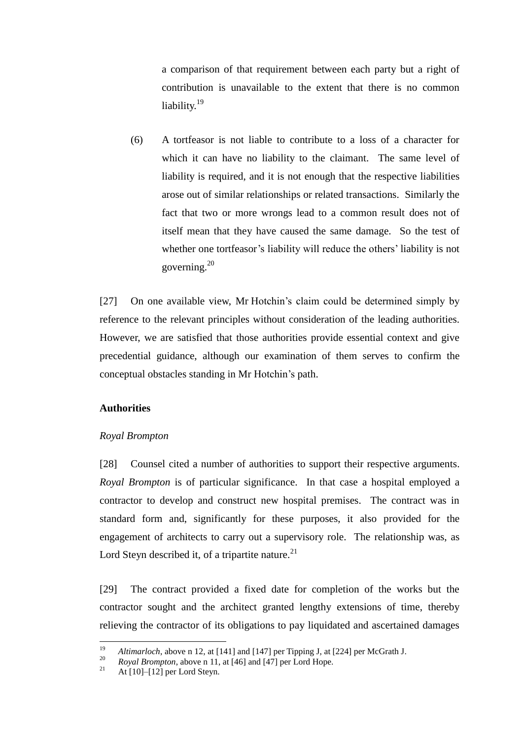a comparison of that requirement between each party but a right of contribution is unavailable to the extent that there is no common liability.<sup>19</sup>

(6) A tortfeasor is not liable to contribute to a loss of a character for which it can have no liability to the claimant. The same level of liability is required, and it is not enough that the respective liabilities arose out of similar relationships or related transactions. Similarly the fact that two or more wrongs lead to a common result does not of itself mean that they have caused the same damage. So the test of whether one tortfeasor's liability will reduce the others' liability is not governing.<sup>20</sup>

[27] On one available view, Mr Hotchin's claim could be determined simply by reference to the relevant principles without consideration of the leading authorities. However, we are satisfied that those authorities provide essential context and give precedential guidance, although our examination of them serves to confirm the conceptual obstacles standing in Mr Hotchin's path.

## **Authorities**

#### *Royal Brompton*

<span id="page-12-0"></span>[28] Counsel cited a number of authorities to support their respective arguments. *Royal Brompton* is of particular significance. In that case a hospital employed a contractor to develop and construct new hospital premises. The contract was in standard form and, significantly for these purposes, it also provided for the engagement of architects to carry out a supervisory role. The relationship was, as Lord Steyn described it, of a tripartite nature. $^{21}$ 

[29] The contract provided a fixed date for completion of the works but the contractor sought and the architect granted lengthy extensions of time, thereby relieving the contractor of its obligations to pay liquidated and ascertained damages

<sup>19</sup> <sup>19</sup> *Altimarloch*, above n [12,](#page-10-2) at [141] and [147] per Tipping J, at [224] per McGrath J.

<sup>&</sup>lt;sup>20</sup> *Royal Brompton*, above n [11,](#page-10-1) at [46] and [47] per Lord Hope.<br> $A + [10]$  [12] per Lord Stown

At [10]–[12] per Lord Steyn.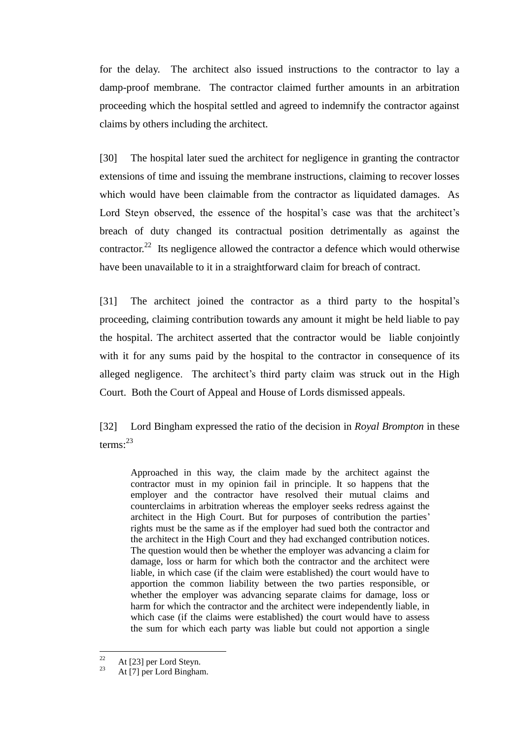for the delay. The architect also issued instructions to the contractor to lay a damp-proof membrane. The contractor claimed further amounts in an arbitration proceeding which the hospital settled and agreed to indemnify the contractor against claims by others including the architect.

[30] The hospital later sued the architect for negligence in granting the contractor extensions of time and issuing the membrane instructions, claiming to recover losses which would have been claimable from the contractor as liquidated damages. As Lord Steyn observed, the essence of the hospital's case was that the architect's breach of duty changed its contractual position detrimentally as against the contractor.<sup>22</sup> Its negligence allowed the contractor a defence which would otherwise have been unavailable to it in a straightforward claim for breach of contract.

[31] The architect joined the contractor as a third party to the hospital's proceeding, claiming contribution towards any amount it might be held liable to pay the hospital. The architect asserted that the contractor would be liable conjointly with it for any sums paid by the hospital to the contractor in consequence of its alleged negligence. The architect's third party claim was struck out in the High Court. Both the Court of Appeal and House of Lords dismissed appeals.

[32] Lord Bingham expressed the ratio of the decision in *Royal Brompton* in these terms: 23

Approached in this way, the claim made by the architect against the contractor must in my opinion fail in principle. It so happens that the employer and the contractor have resolved their mutual claims and counterclaims in arbitration whereas the employer seeks redress against the architect in the High Court. But for purposes of contribution the parties' rights must be the same as if the employer had sued both the contractor and the architect in the High Court and they had exchanged contribution notices. The question would then be whether the employer was advancing a claim for damage, loss or harm for which both the contractor and the architect were liable, in which case (if the claim were established) the court would have to apportion the common liability between the two parties responsible, or whether the employer was advancing separate claims for damage, loss or harm for which the contractor and the architect were independently liable, in which case (if the claims were established) the court would have to assess the sum for which each party was liable but could not apportion a single

 $22$  $\frac{22}{23}$  At [23] per Lord Steyn.

At [7] per Lord Bingham.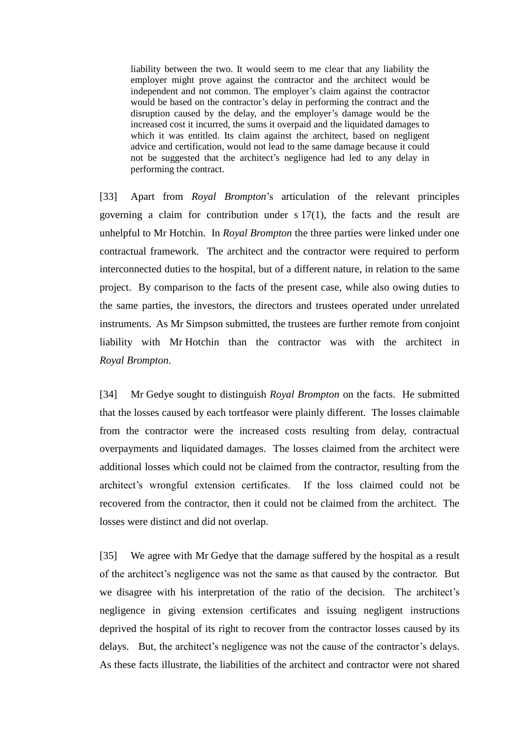liability between the two. It would seem to me clear that any liability the employer might prove against the contractor and the architect would be independent and not common. The employer's claim against the contractor would be based on the contractor's delay in performing the contract and the disruption caused by the delay, and the employer's damage would be the increased cost it incurred, the sums it overpaid and the liquidated damages to which it was entitled. Its claim against the architect, based on negligent advice and certification, would not lead to the same damage because it could not be suggested that the architect's negligence had led to any delay in performing the contract.

[33] Apart from *Royal Brompton*'s articulation of the relevant principles governing a claim for contribution under s 17(1), the facts and the result are unhelpful to Mr Hotchin. In *Royal Brompton* the three parties were linked under one contractual framework. The architect and the contractor were required to perform interconnected duties to the hospital, but of a different nature, in relation to the same project. By comparison to the facts of the present case, while also owing duties to the same parties, the investors, the directors and trustees operated under unrelated instruments. As Mr Simpson submitted, the trustees are further remote from conjoint liability with Mr Hotchin than the contractor was with the architect in *Royal Brompton*.

[34] Mr Gedye sought to distinguish *Royal Brompton* on the facts. He submitted that the losses caused by each tortfeasor were plainly different. The losses claimable from the contractor were the increased costs resulting from delay, contractual overpayments and liquidated damages. The losses claimed from the architect were additional losses which could not be claimed from the contractor, resulting from the architect's wrongful extension certificates. If the loss claimed could not be recovered from the contractor, then it could not be claimed from the architect. The losses were distinct and did not overlap.

[35] We agree with Mr Gedye that the damage suffered by the hospital as a result of the architect's negligence was not the same as that caused by the contractor. But we disagree with his interpretation of the ratio of the decision. The architect's negligence in giving extension certificates and issuing negligent instructions deprived the hospital of its right to recover from the contractor losses caused by its delays. But, the architect's negligence was not the cause of the contractor's delays. As these facts illustrate, the liabilities of the architect and contractor were not shared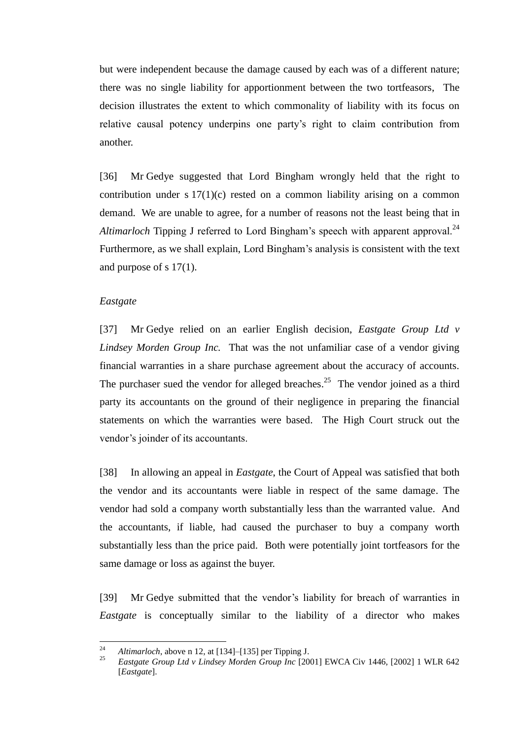but were independent because the damage caused by each was of a different nature; there was no single liability for apportionment between the two tortfeasors, The decision illustrates the extent to which commonality of liability with its focus on relative causal potency underpins one party's right to claim contribution from another.

[36] Mr Gedye suggested that Lord Bingham wrongly held that the right to contribution under s  $17(1)(c)$  rested on a common liability arising on a common demand. We are unable to agree, for a number of reasons not the least being that in *Altimarloch* Tipping J referred to Lord Bingham's speech with apparent approval.<sup>24</sup> Furthermore, as we shall explain, Lord Bingham's analysis is consistent with the text and purpose of s 17(1).

#### *Eastgate*

<span id="page-15-0"></span>[37] Mr Gedye relied on an earlier English decision, *Eastgate Group Ltd v Lindsey Morden Group Inc.* That was the not unfamiliar case of a vendor giving financial warranties in a share purchase agreement about the accuracy of accounts. The purchaser sued the vendor for alleged breaches.<sup>25</sup> The vendor joined as a third party its accountants on the ground of their negligence in preparing the financial statements on which the warranties were based. The High Court struck out the vendor's joinder of its accountants.

[38] In allowing an appeal in *Eastgate*, the Court of Appeal was satisfied that both the vendor and its accountants were liable in respect of the same damage. The vendor had sold a company worth substantially less than the warranted value. And the accountants, if liable, had caused the purchaser to buy a company worth substantially less than the price paid. Both were potentially joint tortfeasors for the same damage or loss as against the buyer.

[39] Mr Gedye submitted that the vendor's liability for breach of warranties in *Eastgate* is conceptually similar to the liability of a director who makes

 $24$ <sup>24</sup> *Altimarloch*, above n [12,](#page-10-3) at [134]–[135] per Tipping J.<br><sup>25</sup> *Fastasta Grams Ltd.u Lindam Mardon Grams Ing* [200

<sup>25</sup> *Eastgate Group Ltd v Lindsey Morden Group Inc* [2001] EWCA Civ 1446, [2002] 1 WLR 642 [*Eastgate*].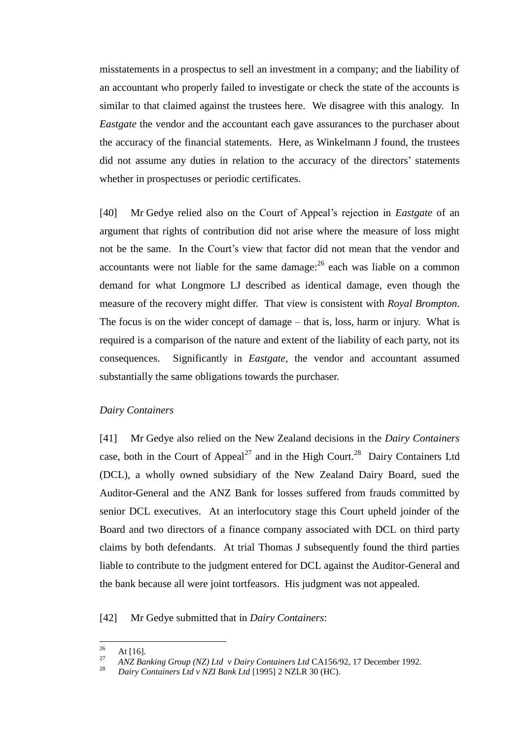misstatements in a prospectus to sell an investment in a company; and the liability of an accountant who properly failed to investigate or check the state of the accounts is similar to that claimed against the trustees here. We disagree with this analogy. In *Eastgate* the vendor and the accountant each gave assurances to the purchaser about the accuracy of the financial statements. Here, as Winkelmann J found, the trustees did not assume any duties in relation to the accuracy of the directors' statements whether in prospectuses or periodic certificates.

[40] Mr Gedye relied also on the Court of Appeal's rejection in *Eastgate* of an argument that rights of contribution did not arise where the measure of loss might not be the same. In the Court's view that factor did not mean that the vendor and accountants were not liable for the same damage: $^{26}$  each was liable on a common demand for what Longmore LJ described as identical damage, even though the measure of the recovery might differ. That view is consistent with *Royal Brompton*. The focus is on the wider concept of damage – that is, loss, harm or injury. What is required is a comparison of the nature and extent of the liability of each party, not its consequences. Significantly in *Eastgate,* the vendor and accountant assumed substantially the same obligations towards the purchaser.

## *Dairy Containers*

<span id="page-16-0"></span>[41] Mr Gedye also relied on the New Zealand decisions in the *Dairy Containers*  case, both in the Court of Appeal<sup>27</sup> and in the High Court.<sup>28</sup> Dairy Containers Ltd (DCL), a wholly owned subsidiary of the New Zealand Dairy Board, sued the Auditor-General and the ANZ Bank for losses suffered from frauds committed by senior DCL executives. At an interlocutory stage this Court upheld joinder of the Board and two directors of a finance company associated with DCL on third party claims by both defendants. At trial Thomas J subsequently found the third parties liable to contribute to the judgment entered for DCL against the Auditor-General and the bank because all were joint tortfeasors. His judgment was not appealed.

[42] Mr Gedye submitted that in *Dairy Containers*:

<sup>26</sup>  $\frac{26}{27}$  At [16].

<sup>27</sup> *ANZ Banking Group (NZ) Ltd v Dairy Containers Ltd* CA156/92, 17 December 1992.

<sup>28</sup> *Dairy Containers Ltd v NZI Bank Ltd* [1995] 2 NZLR 30 (HC).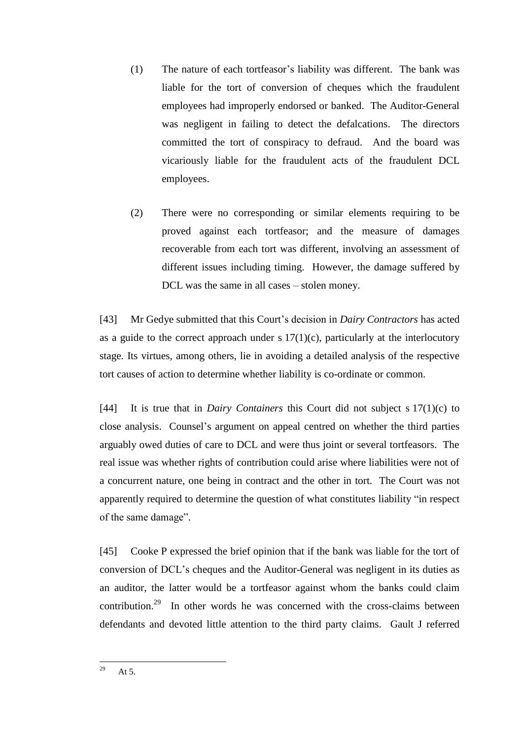- (1) The nature of each tortfeasor's liability was different. The bank was liable for the tort of conversion of cheques which the fraudulent employees had improperly endorsed or banked. The Auditor-General was negligent in failing to detect the defalcations. The directors committed the tort of conspiracy to defraud. And the board was vicariously liable for the fraudulent acts of the fraudulent DCL employees.
- (2) There were no corresponding or similar elements requiring to be proved against each tortfeasor; and the measure of damages recoverable from each tort was different, involving an assessment of different issues including timing. However, the damage suffered by DCL was the same in all cases – stolen money.

[43] Mr Gedye submitted that this Court's decision in *Dairy Contractors* has acted as a guide to the correct approach under s  $17(1)(c)$ , particularly at the interlocutory stage. Its virtues, among others, lie in avoiding a detailed analysis of the respective tort causes of action to determine whether liability is co-ordinate or common.

[44] It is true that in *Dairy Containers* this Court did not subject s 17(1)(c) to close analysis. Counsel's argument on appeal centred on whether the third parties arguably owed duties of care to DCL and were thus joint or several tortfeasors. The real issue was whether rights of contribution could arise where liabilities were not of a concurrent nature, one being in contract and the other in tort. The Court was not apparently required to determine the question of what constitutes liability "in respect of the same damage".

[45] Cooke P expressed the brief opinion that if the bank was liable for the tort of conversion of DCL's cheques and the Auditor-General was negligent in its duties as an auditor, the latter would be a tortfeasor against whom the banks could claim contribution.<sup>29</sup> In other words he was concerned with the cross-claims between defendants and devoted little attention to the third party claims. Gault J referred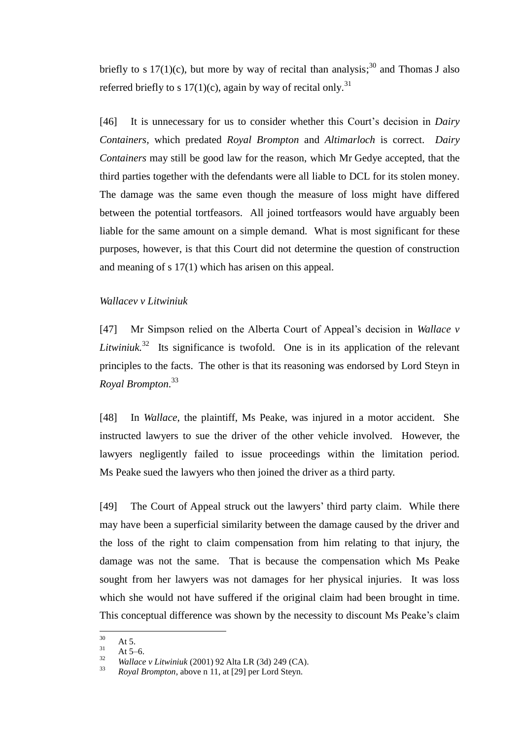briefly to s  $17(1)(c)$ , but more by way of recital than analysis;<sup>30</sup> and Thomas J also referred briefly to s  $17(1)(c)$ , again by way of recital only.<sup>31</sup>

[46] It is unnecessary for us to consider whether this Court's decision in *Dairy Containers,* which predated *Royal Brompton* and *Altimarloch* is correct. *Dairy Containers* may still be good law for the reason, which Mr Gedye accepted, that the third parties together with the defendants were all liable to DCL for its stolen money. The damage was the same even though the measure of loss might have differed between the potential tortfeasors. All joined tortfeasors would have arguably been liable for the same amount on a simple demand. What is most significant for these purposes, however, is that this Court did not determine the question of construction and meaning of s 17(1) which has arisen on this appeal.

#### *Wallacev v Litwiniuk*

<span id="page-18-0"></span>[47] Mr Simpson relied on the Alberta Court of Appeal's decision in *Wallace v Litwiniuk*<sup>32</sup> Its significance is twofold. One is in its application of the relevant principles to the facts. The other is that its reasoning was endorsed by Lord Steyn in *Royal Brompton*. 33

[48] In *Wallace*, the plaintiff, Ms Peake, was injured in a motor accident. She instructed lawyers to sue the driver of the other vehicle involved. However, the lawyers negligently failed to issue proceedings within the limitation period. Ms Peake sued the lawyers who then joined the driver as a third party.

[49] The Court of Appeal struck out the lawyers' third party claim. While there may have been a superficial similarity between the damage caused by the driver and the loss of the right to claim compensation from him relating to that injury, the damage was not the same. That is because the compensation which Ms Peake sought from her lawyers was not damages for her physical injuries. It was loss which she would not have suffered if the original claim had been brought in time. This conceptual difference was shown by the necessity to discount Ms Peake's claim

 $30^{\circ}$  $\frac{30}{31}$  At 5.

 $\frac{31}{32}$  At 5–6.

<sup>32</sup> *Wallace v Litwiniuk* (2001) 92 Alta LR (3d) 249 (CA).

<sup>33</sup> *Royal Brompton*, above n [11,](#page-10-4) at [29] per Lord Steyn.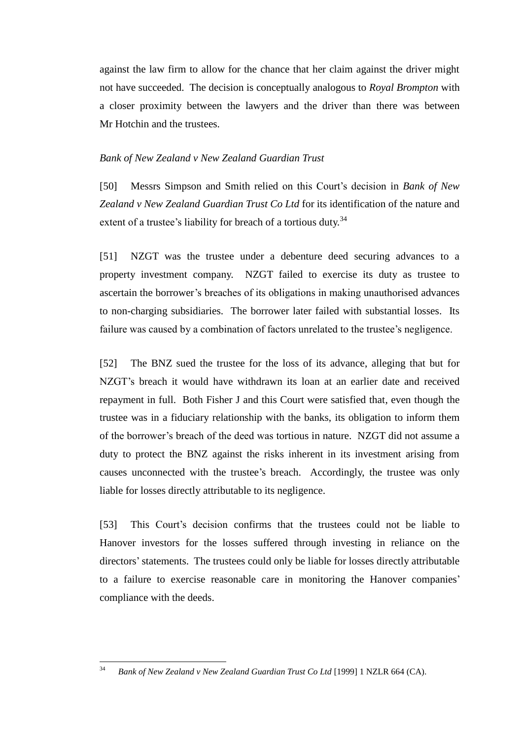against the law firm to allow for the chance that her claim against the driver might not have succeeded. The decision is conceptually analogous to *Royal Brompton* with a closer proximity between the lawyers and the driver than there was between Mr Hotchin and the trustees.

#### *Bank of New Zealand v New Zealand Guardian Trust*

<span id="page-19-0"></span>[50] Messrs Simpson and Smith relied on this Court's decision in *Bank of New Zealand v New Zealand Guardian Trust Co Ltd* for its identification of the nature and extent of a trustee's liability for breach of a tortious duty.<sup>34</sup>

[51] NZGT was the trustee under a debenture deed securing advances to a property investment company. NZGT failed to exercise its duty as trustee to ascertain the borrower's breaches of its obligations in making unauthorised advances to non-charging subsidiaries. The borrower later failed with substantial losses. Its failure was caused by a combination of factors unrelated to the trustee's negligence.

[52] The BNZ sued the trustee for the loss of its advance, alleging that but for NZGT's breach it would have withdrawn its loan at an earlier date and received repayment in full. Both Fisher J and this Court were satisfied that, even though the trustee was in a fiduciary relationship with the banks, its obligation to inform them of the borrower's breach of the deed was tortious in nature. NZGT did not assume a duty to protect the BNZ against the risks inherent in its investment arising from causes unconnected with the trustee's breach. Accordingly, the trustee was only liable for losses directly attributable to its negligence.

[53] This Court's decision confirms that the trustees could not be liable to Hanover investors for the losses suffered through investing in reliance on the directors'statements. The trustees could only be liable for losses directly attributable to a failure to exercise reasonable care in monitoring the Hanover companies' compliance with the deeds.

 $34$ <sup>34</sup> *Bank of New Zealand v New Zealand Guardian Trust Co Ltd* [1999] 1 NZLR 664 (CA).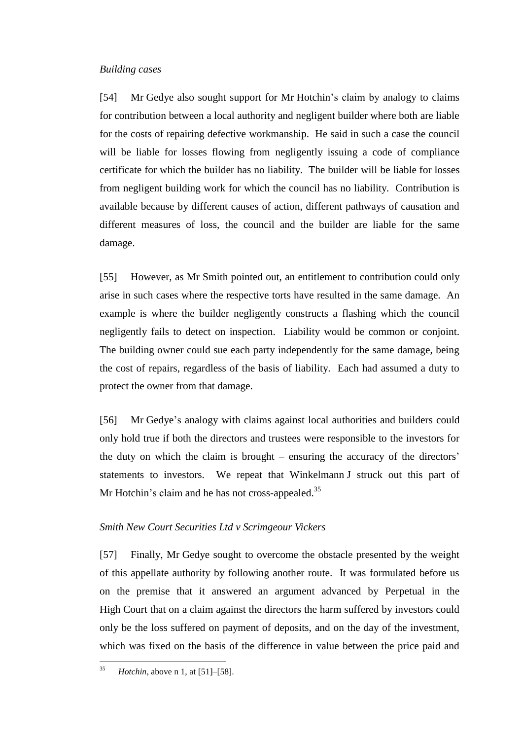#### *Building cases*

<span id="page-20-0"></span>[54] Mr Gedye also sought support for Mr Hotchin's claim by analogy to claims for contribution between a local authority and negligent builder where both are liable for the costs of repairing defective workmanship. He said in such a case the council will be liable for losses flowing from negligently issuing a code of compliance certificate for which the builder has no liability. The builder will be liable for losses from negligent building work for which the council has no liability. Contribution is available because by different causes of action, different pathways of causation and different measures of loss, the council and the builder are liable for the same damage.

[55] However, as Mr Smith pointed out, an entitlement to contribution could only arise in such cases where the respective torts have resulted in the same damage. An example is where the builder negligently constructs a flashing which the council negligently fails to detect on inspection. Liability would be common or conjoint. The building owner could sue each party independently for the same damage, being the cost of repairs, regardless of the basis of liability. Each had assumed a duty to protect the owner from that damage.

[56] Mr Gedye's analogy with claims against local authorities and builders could only hold true if both the directors and trustees were responsible to the investors for the duty on which the claim is brought – ensuring the accuracy of the directors' statements to investors. We repeat that Winkelmann J struck out this part of Mr Hotchin's claim and he has not cross-appealed.<sup>35</sup>

## *Smith New Court Securities Ltd v Scrimgeour Vickers*

<span id="page-20-1"></span>[57] Finally, Mr Gedye sought to overcome the obstacle presented by the weight of this appellate authority by following another route. It was formulated before us on the premise that it answered an argument advanced by Perpetual in the High Court that on a claim against the directors the harm suffered by investors could only be the loss suffered on payment of deposits, and on the day of the investment, which was fixed on the basis of the difference in value between the price paid and

 $35$ *Hotchin*, above n 1, at [51]–[58].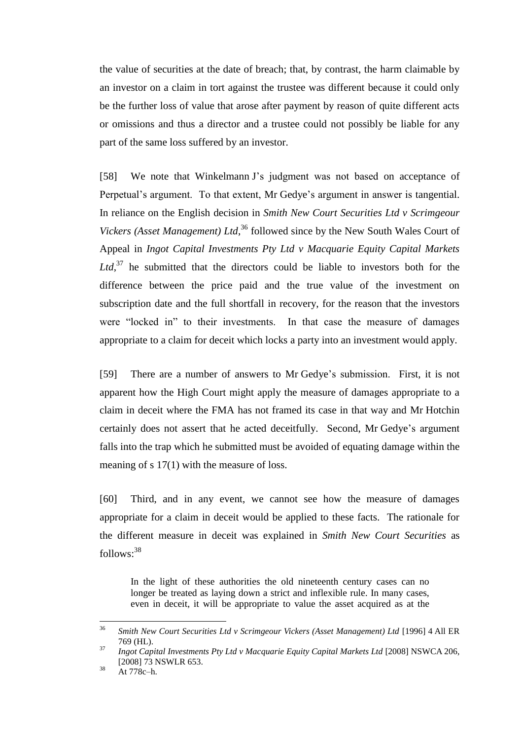the value of securities at the date of breach; that, by contrast, the harm claimable by an investor on a claim in tort against the trustee was different because it could only be the further loss of value that arose after payment by reason of quite different acts or omissions and thus a director and a trustee could not possibly be liable for any part of the same loss suffered by an investor.

[58] We note that Winkelmann J's judgment was not based on acceptance of Perpetual's argument. To that extent, Mr Gedye's argument in answer is tangential. In reliance on the English decision in *Smith New Court Securities Ltd v Scrimgeour Vickers (Asset Management) Ltd*, <sup>36</sup> followed since by the New South Wales Court of Appeal in *Ingot Capital Investments Pty Ltd v Macquarie Equity Capital Markets*  Ltd,<sup>37</sup> he submitted that the directors could be liable to investors both for the difference between the price paid and the true value of the investment on subscription date and the full shortfall in recovery, for the reason that the investors were "locked in" to their investments. In that case the measure of damages appropriate to a claim for deceit which locks a party into an investment would apply.

[59] There are a number of answers to Mr Gedye's submission. First, it is not apparent how the High Court might apply the measure of damages appropriate to a claim in deceit where the FMA has not framed its case in that way and Mr Hotchin certainly does not assert that he acted deceitfully. Second, Mr Gedye's argument falls into the trap which he submitted must be avoided of equating damage within the meaning of s 17(1) with the measure of loss.

[60] Third, and in any event, we cannot see how the measure of damages appropriate for a claim in deceit would be applied to these facts. The rationale for the different measure in deceit was explained in *Smith New Court Securities* as follows: 38

In the light of these authorities the old nineteenth century cases can no longer be treated as laying down a strict and inflexible rule. In many cases, even in deceit, it will be appropriate to value the asset acquired as at the

<sup>36</sup> <sup>36</sup> *Smith New Court Securities Ltd v Scrimgeour Vickers (Asset Management) Ltd* [1996] 4 All ER 769 (HL).

<sup>37</sup> *Ingot Capital Investments Pty Ltd v Macquarie Equity Capital Markets Ltd* [2008] NSWCA 206, [2008] 73 NSWLR 653.

 $38$  At 778c–h.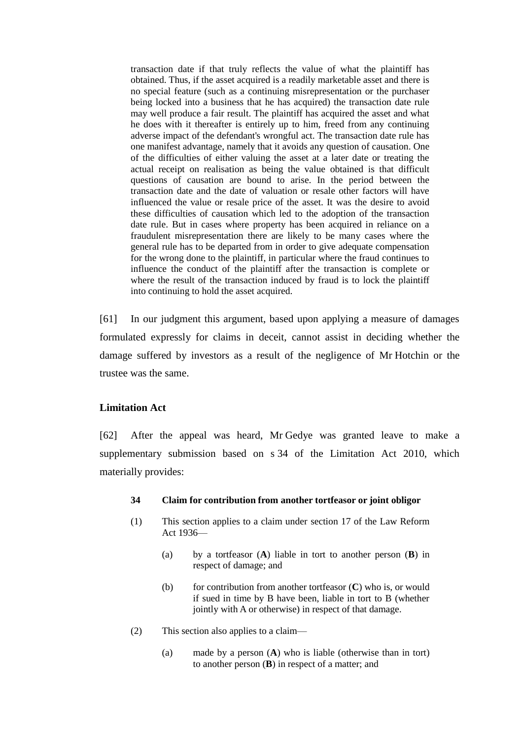transaction date if that truly reflects the value of what the plaintiff has obtained. Thus, if the asset acquired is a readily marketable asset and there is no special feature (such as a continuing misrepresentation or the purchaser being locked into a business that he has acquired) the transaction date rule may well produce a fair result. The plaintiff has acquired the asset and what he does with it thereafter is entirely up to him, freed from any continuing adverse impact of the defendant's wrongful act. The transaction date rule has one manifest advantage, namely that it avoids any question of causation. One of the difficulties of either valuing the asset at a later date or treating the actual receipt on realisation as being the value obtained is that difficult questions of causation are bound to arise. In the period between the transaction date and the date of valuation or resale other factors will have influenced the value or resale price of the asset. It was the desire to avoid these difficulties of causation which led to the adoption of the transaction date rule. But in cases where property has been acquired in reliance on a fraudulent misrepresentation there are likely to be many cases where the general rule has to be departed from in order to give adequate compensation for the wrong done to the plaintiff, in particular where the fraud continues to influence the conduct of the plaintiff after the transaction is complete or where the result of the transaction induced by fraud is to lock the plaintiff into continuing to hold the asset acquired.

[61] In our judgment this argument, based upon applying a measure of damages formulated expressly for claims in deceit, cannot assist in deciding whether the damage suffered by investors as a result of the negligence of Mr Hotchin or the trustee was the same.

## **Limitation Act**

<span id="page-22-0"></span>[62] After the appeal was heard, Mr Gedye was granted leave to make a supplementary submission based on s 34 of the Limitation Act 2010, which materially provides:

#### **34 Claim for contribution from another tortfeasor or joint obligor**

- (1) This section applies to a claim under section 17 of the Law Reform Act 1936—
	- (a) by a tortfeasor (**A**) liable in tort to another person (**B**) in respect of damage; and
	- (b) for contribution from another tortfeasor  $(C)$  who is, or would if sued in time by B have been, liable in tort to B (whether jointly with A or otherwise) in respect of that damage.
- (2) This section also applies to a claim—
	- (a) made by a person (**A**) who is liable (otherwise than in tort) to another person (**B**) in respect of a matter; and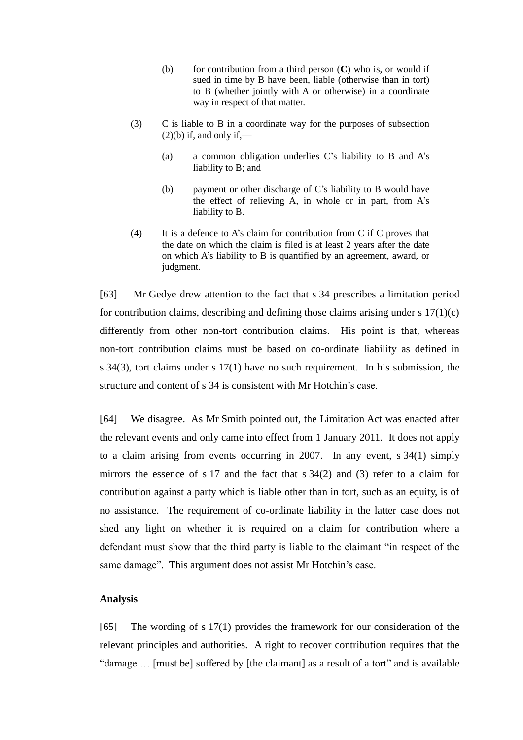- (b) for contribution from a third person  $(C)$  who is, or would if sued in time by B have been, liable (otherwise than in tort) to B (whether jointly with A or otherwise) in a coordinate way in respect of that matter.
- (3) C is liable to B in a coordinate way for the purposes of subsection  $(2)(b)$  if, and only if,—
	- (a) a common obligation underlies C's liability to B and A's liability to B; and
	- (b) payment or other discharge of C's liability to B would have the effect of relieving A, in whole or in part, from A's liability to B.
- (4) It is a defence to A's claim for contribution from C if C proves that the date on which the claim is filed is at least 2 years after the date on which A's liability to B is quantified by an agreement, award, or judgment.

[63] Mr Gedye drew attention to the fact that s 34 prescribes a limitation period for contribution claims, describing and defining those claims arising under s  $17(1)(c)$ differently from other non-tort contribution claims. His point is that, whereas non-tort contribution claims must be based on co-ordinate liability as defined in s 34(3), tort claims under s 17(1) have no such requirement. In his submission, the structure and content of s 34 is consistent with Mr Hotchin's case.

[64] We disagree. As Mr Smith pointed out, the Limitation Act was enacted after the relevant events and only came into effect from 1 January 2011. It does not apply to a claim arising from events occurring in 2007. In any event, s 34(1) simply mirrors the essence of s 17 and the fact that s 34(2) and (3) refer to a claim for contribution against a party which is liable other than in tort, such as an equity, is of no assistance. The requirement of co-ordinate liability in the latter case does not shed any light on whether it is required on a claim for contribution where a defendant must show that the third party is liable to the claimant "in respect of the same damage". This argument does not assist Mr Hotchin's case.

#### **Analysis**

<span id="page-23-0"></span>[65] The wording of s 17(1) provides the framework for our consideration of the relevant principles and authorities. A right to recover contribution requires that the "damage … [must be] suffered by [the claimant] as a result of a tort" and is available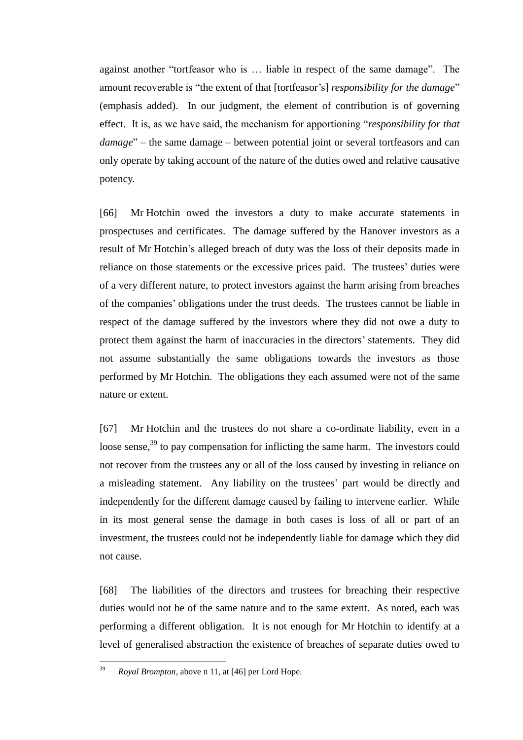against another "tortfeasor who is … liable in respect of the same damage". The amount recoverable is "the extent of that [tortfeasor's] *responsibility for the damage*" (emphasis added). In our judgment, the element of contribution is of governing effect. It is, as we have said, the mechanism for apportioning "*responsibility for that damage*" – the same damage – between potential joint or several tortfeasors and can only operate by taking account of the nature of the duties owed and relative causative potency.

[66] Mr Hotchin owed the investors a duty to make accurate statements in prospectuses and certificates. The damage suffered by the Hanover investors as a result of Mr Hotchin's alleged breach of duty was the loss of their deposits made in reliance on those statements or the excessive prices paid. The trustees' duties were of a very different nature, to protect investors against the harm arising from breaches of the companies' obligations under the trust deeds. The trustees cannot be liable in respect of the damage suffered by the investors where they did not owe a duty to protect them against the harm of inaccuracies in the directors' statements. They did not assume substantially the same obligations towards the investors as those performed by Mr Hotchin. The obligations they each assumed were not of the same nature or extent.

[67] Mr Hotchin and the trustees do not share a co-ordinate liability, even in a loose sense, $39$  to pay compensation for inflicting the same harm. The investors could not recover from the trustees any or all of the loss caused by investing in reliance on a misleading statement. Any liability on the trustees' part would be directly and independently for the different damage caused by failing to intervene earlier. While in its most general sense the damage in both cases is loss of all or part of an investment, the trustees could not be independently liable for damage which they did not cause.

[68] The liabilities of the directors and trustees for breaching their respective duties would not be of the same nature and to the same extent. As noted, each was performing a different obligation. It is not enough for Mr Hotchin to identify at a level of generalised abstraction the existence of breaches of separate duties owed to

<sup>39</sup> <sup>39</sup> *Royal Brompton*, above n [11,](#page-10-4) at [46] per Lord Hope.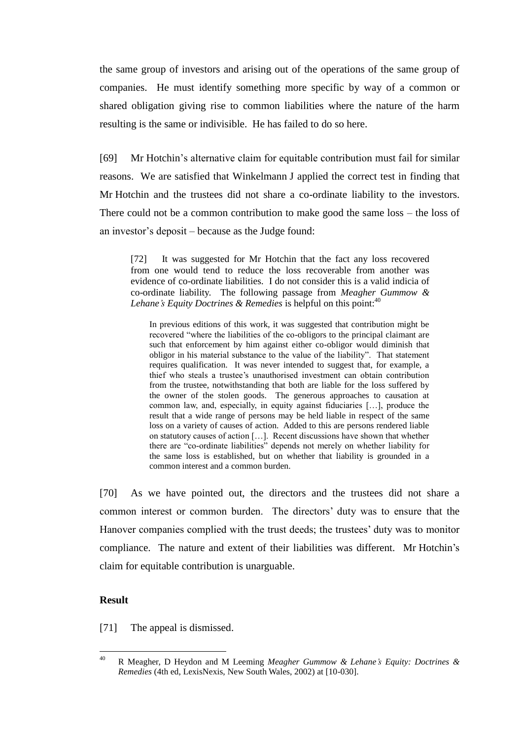the same group of investors and arising out of the operations of the same group of companies. He must identify something more specific by way of a common or shared obligation giving rise to common liabilities where the nature of the harm resulting is the same or indivisible. He has failed to do so here.

[69] Mr Hotchin's alternative claim for equitable contribution must fail for similar reasons. We are satisfied that Winkelmann J applied the correct test in finding that Mr Hotchin and the trustees did not share a co-ordinate liability to the investors. There could not be a common contribution to make good the same loss – the loss of an investor's deposit – because as the Judge found:

[72] It was suggested for Mr Hotchin that the fact any loss recovered from one would tend to reduce the loss recoverable from another was evidence of co-ordinate liabilities. I do not consider this is a valid indicia of co-ordinate liability. The following passage from *Meagher Gummow & Lehane's Equity Doctrines & Remedies* is helpful on this point:  $40$ 

In previous editions of this work, it was suggested that contribution might be recovered "where the liabilities of the co-obligors to the principal claimant are such that enforcement by him against either co-obligor would diminish that obligor in his material substance to the value of the liability". That statement requires qualification. It was never intended to suggest that, for example, a thief who steals a trustee's unauthorised investment can obtain contribution from the trustee, notwithstanding that both are liable for the loss suffered by the owner of the stolen goods. The generous approaches to causation at common law, and, especially, in equity against fiduciaries […], produce the result that a wide range of persons may be held liable in respect of the same loss on a variety of causes of action. Added to this are persons rendered liable on statutory causes of action […]. Recent discussions have shown that whether there are "co-ordinate liabilities" depends not merely on whether liability for the same loss is established, but on whether that liability is grounded in a common interest and a common burden.

[70] As we have pointed out, the directors and the trustees did not share a common interest or common burden. The directors' duty was to ensure that the Hanover companies complied with the trust deeds; the trustees' duty was to monitor compliance. The nature and extent of their liabilities was different. Mr Hotchin's claim for equitable contribution is unarguable.

## **Result**

<span id="page-25-0"></span>[71] The appeal is dismissed.

<sup>40</sup> <sup>40</sup> R Meagher, D Heydon and M Leeming *Meagher Gummow & Lehane's Equity: Doctrines & Remedies* (4th ed, LexisNexis, New South Wales, 2002) at [10-030].